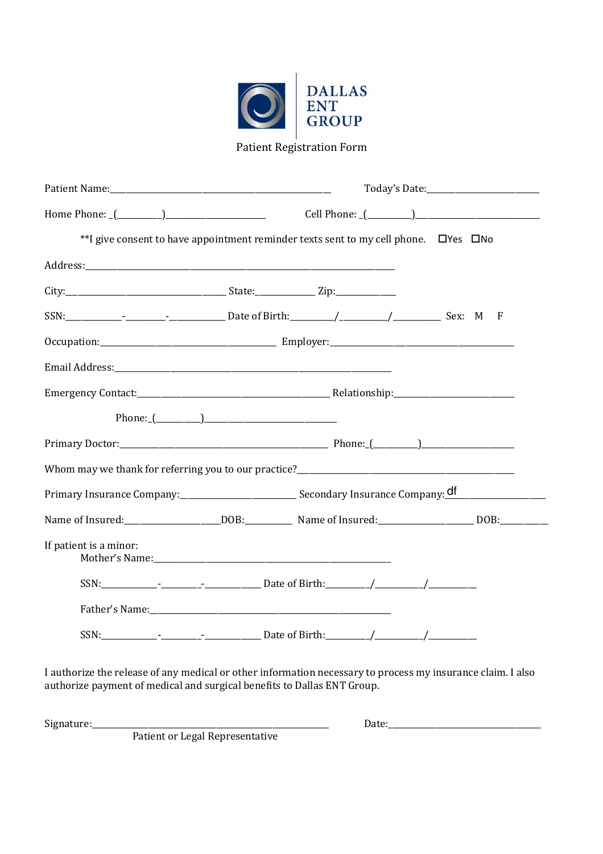

Patient Registration Form

| **I give consent to have appointment reminder texts sent to my cell phone. DYes DNo                             |  |  |  |  |  |
|-----------------------------------------------------------------------------------------------------------------|--|--|--|--|--|
|                                                                                                                 |  |  |  |  |  |
|                                                                                                                 |  |  |  |  |  |
|                                                                                                                 |  |  |  |  |  |
|                                                                                                                 |  |  |  |  |  |
| Email Address: Email Address: Annual Address: Annual Address: Annual Address: Annual Address: Annual Address: A |  |  |  |  |  |
| Emergency Contact: Relationship: Relationship:                                                                  |  |  |  |  |  |
|                                                                                                                 |  |  |  |  |  |
|                                                                                                                 |  |  |  |  |  |
|                                                                                                                 |  |  |  |  |  |
|                                                                                                                 |  |  |  |  |  |
|                                                                                                                 |  |  |  |  |  |
| If patient is a minor:                                                                                          |  |  |  |  |  |
|                                                                                                                 |  |  |  |  |  |
|                                                                                                                 |  |  |  |  |  |
|                                                                                                                 |  |  |  |  |  |
|                                                                                                                 |  |  |  |  |  |

I authorize the release of any medical or other information necessary to process my insurance claim. I also authorize payment of medical and surgical benefits to Dallas ENT Group.

Patient or Legal Representative

Signature:\_\_\_\_\_\_\_\_\_\_\_\_\_\_\_\_\_\_\_\_\_\_\_\_\_\_\_\_\_\_\_\_\_\_\_\_\_\_\_\_\_\_\_\_\_\_\_\_\_\_\_\_\_\_\_\_\_\_\_ Date:\_\_\_\_\_\_\_\_\_\_\_\_\_\_\_\_\_\_\_\_\_\_\_\_\_\_\_\_\_\_\_\_\_\_\_\_\_\_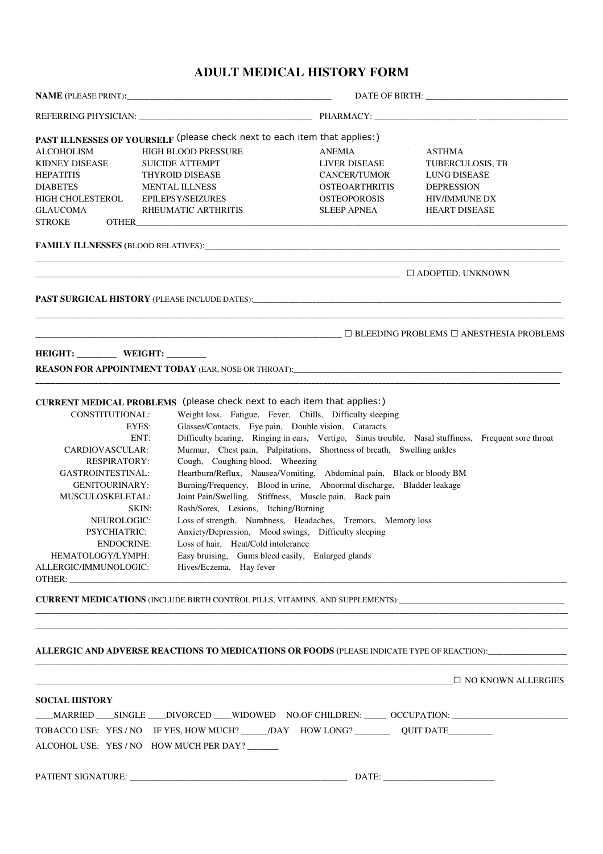# **ADULT MEDICAL HISTORY FORM**

| <b>ALCOHOLISM</b>                                                                                           | HIGH BLOOD PRESSURE                                                                            | <b>ANEMIA</b>                                                          | <b>ASTHMA</b>                                                                                         |  |
|-------------------------------------------------------------------------------------------------------------|------------------------------------------------------------------------------------------------|------------------------------------------------------------------------|-------------------------------------------------------------------------------------------------------|--|
| <b>KIDNEY DISEASE</b>                                                                                       | <b>SUICIDE ATTEMPT</b>                                                                         | <b>LIVER DISEASE</b>                                                   | <b>TUBERCULOSIS, TB</b>                                                                               |  |
| <b>HEPATITIS</b>                                                                                            | <b>THYROID DISEASE</b>                                                                         | <b>CANCER/TUMOR</b>                                                    | LUNG DISEASE                                                                                          |  |
| <b>DIABETES</b>                                                                                             | <b>MENTAL ILLNESS</b>                                                                          | <b>OSTEOARTHRITIS</b>                                                  | <b>DEPRESSION</b>                                                                                     |  |
| HIGH CHOLESTEROL                                                                                            | <b>EPILEPSY/SEIZURES</b>                                                                       | <b>OSTEOPOROSIS</b>                                                    | <b>HIV/IMMUNE DX</b>                                                                                  |  |
| GLAUCOMA                                                                                                    | RHEUMATIC ARTHRITIS                                                                            | <b>SLEEP APNEA</b>                                                     | <b>HEART DISEASE</b>                                                                                  |  |
| <b>STROKE</b>                                                                                               | OTHER <b>EXECUTER</b>                                                                          |                                                                        |                                                                                                       |  |
|                                                                                                             |                                                                                                |                                                                        |                                                                                                       |  |
|                                                                                                             |                                                                                                |                                                                        |                                                                                                       |  |
|                                                                                                             |                                                                                                |                                                                        |                                                                                                       |  |
|                                                                                                             |                                                                                                |                                                                        |                                                                                                       |  |
|                                                                                                             |                                                                                                |                                                                        |                                                                                                       |  |
| HEIGHT: _________ WEIGHT: _______                                                                           |                                                                                                |                                                                        |                                                                                                       |  |
|                                                                                                             |                                                                                                |                                                                        |                                                                                                       |  |
|                                                                                                             | CURRENT MEDICAL PROBLEMS (please check next to each item that applies:)                        |                                                                        |                                                                                                       |  |
| CONSTITUTIONAL:                                                                                             |                                                                                                |                                                                        |                                                                                                       |  |
|                                                                                                             |                                                                                                | Weight loss, Fatigue, Fever, Chills, Difficulty sleeping               |                                                                                                       |  |
|                                                                                                             | EYES:                                                                                          | Glasses/Contacts, Eye pain, Double vision, Cataracts                   |                                                                                                       |  |
| Difficulty hearing, Ringing in ears, Vertigo, Sinus trouble, Nasal stuffiness, Frequent sore throat<br>ENT: |                                                                                                |                                                                        |                                                                                                       |  |
| CARDIOVASCULAR:                                                                                             |                                                                                                | Murmur, Chest pain, Palpitations, Shortness of breath, Swelling ankles |                                                                                                       |  |
| Cough, Coughing blood, Wheezing<br><b>RESPIRATORY:</b>                                                      |                                                                                                |                                                                        |                                                                                                       |  |
| <b>GASTROINTESTINAL:</b>                                                                                    |                                                                                                | Heartburn/Reflux, Nausea/Vomiting, Abdominal pain, Black or bloody BM  |                                                                                                       |  |
| <b>GENITOURINARY:</b>                                                                                       |                                                                                                | Burning/Frequency, Blood in urine, Abnormal discharge, Bladder leakage |                                                                                                       |  |
| MUSCULOSKELETAL:                                                                                            | Joint Pain/Swelling, Stiffness, Muscle pain, Back pain                                         |                                                                        |                                                                                                       |  |
|                                                                                                             | Rash/Sores, Lesions, Itching/Burning<br>SKIN:                                                  |                                                                        |                                                                                                       |  |
| Loss of strength, Numbness, Headaches, Tremors, Memory loss<br>NEUROLOGIC:                                  |                                                                                                |                                                                        |                                                                                                       |  |
| Anxiety/Depression, Mood swings, Difficulty sleeping<br><b>PSYCHIATRIC:</b>                                 |                                                                                                |                                                                        |                                                                                                       |  |
|                                                                                                             | <b>ENDOCRINE:</b><br>Loss of hair, Heat/Cold intolerance                                       |                                                                        |                                                                                                       |  |
|                                                                                                             | Easy bruising, Gums bleed easily, Enlarged glands<br>HEMATOLOGY/LYMPH:                         |                                                                        |                                                                                                       |  |
| ALLERGIC/IMMUNOLOGIC:                                                                                       | Hives/Eczema, Hay fever                                                                        |                                                                        |                                                                                                       |  |
|                                                                                                             |                                                                                                |                                                                        |                                                                                                       |  |
|                                                                                                             |                                                                                                |                                                                        | <b>CURRENT MEDICATIONS</b> (INCLUDE BIRTH CONTROL PILLS, VITAMINS, AND SUPPLEMENTS):                  |  |
|                                                                                                             |                                                                                                |                                                                        |                                                                                                       |  |
|                                                                                                             |                                                                                                |                                                                        |                                                                                                       |  |
|                                                                                                             |                                                                                                |                                                                        | ALLERGIC AND ADVERSE REACTIONS TO MEDICATIONS OR FOODS (PLEASE INDICATE TYPE OF REACTION):___________ |  |
|                                                                                                             |                                                                                                |                                                                        | $\Box$ NO KNOWN ALLERGIES                                                                             |  |
| <b>SOCIAL HISTORY</b>                                                                                       |                                                                                                |                                                                        |                                                                                                       |  |
|                                                                                                             |                                                                                                |                                                                        | _MARRIED ___SINGLE ___DIVORCED ___WIDOWED    NO.OF CHILDREN: ______ OCCUPATION: ___________________   |  |
|                                                                                                             | TOBACCO USE: YES / NO IF YES, HOW MUCH? ______/DAY HOW LONG? ____________ QUIT DATE___________ |                                                                        |                                                                                                       |  |
|                                                                                                             | ALCOHOL USE: YES / NO HOW MUCH PER DAY?                                                        |                                                                        |                                                                                                       |  |
|                                                                                                             |                                                                                                |                                                                        |                                                                                                       |  |
|                                                                                                             |                                                                                                |                                                                        |                                                                                                       |  |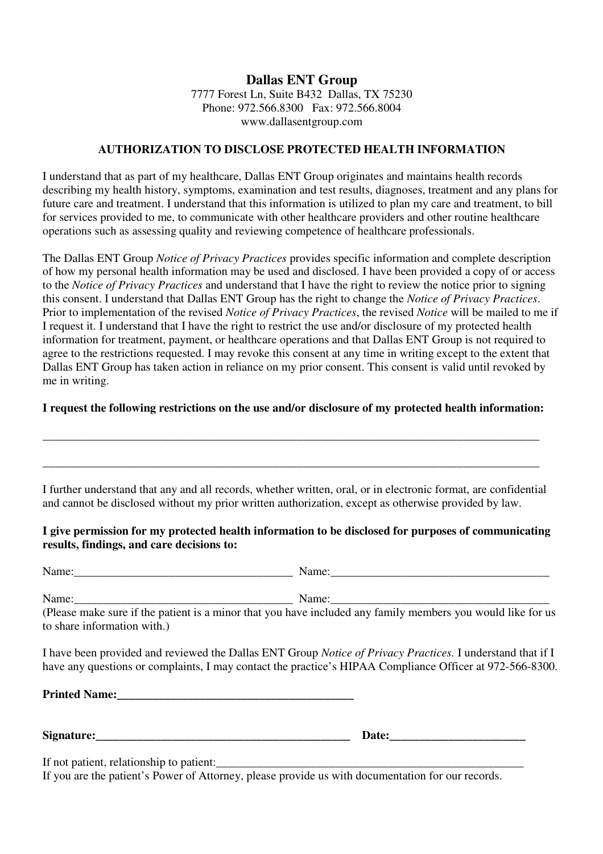# **Dallas ENT Group** 7777 Forest Ln, Suite B432 Dallas, TX 75230 Phone: 972.566.8300 Fax: 972.566.8004 www.dallasentgroup.com

### **AUTHORIZATION TO DISCLOSE PROTECTED HEALTH INFORMATION**

I understand that as part of my healthcare, Dallas ENT Group originates and maintains health records describing my health history, symptoms, examination and test results, diagnoses, treatment and any plans for future care and treatment. I understand that this information is utilized to plan my care and treatment, to bill for services provided to me, to communicate with other healthcare providers and other routine healthcare operations such as assessing quality and reviewing competence of healthcare professionals.

The Dallas ENT Group *Notice of Privacy Practices* provides specific information and complete description of how my personal health information may be used and disclosed. I have been provided a copy of or access to the *Notice of Privacy Practices* and understand that I have the right to review the notice prior to signing this consent. I understand that Dallas ENT Group has the right to change the *Notice of Privacy Practices*. Prior to implementation of the revised *Notice of Privacy Practices*, the revised *Notice* will be mailed to me if I request it. I understand that I have the right to restrict the use and/or disclosure of my protected health information for treatment, payment, or healthcare operations and that Dallas ENT Group is not required to agree to the restrictions requested. I may revoke this consent at any time in writing except to the extent that Dallas ENT Group has taken action in reliance on my prior consent. This consent is valid until revoked by me in writing.

# **I request the following restrictions on the use and/or disclosure of my protected health information:**

\_\_\_\_\_\_\_\_\_\_\_\_\_\_\_\_\_\_\_\_\_\_\_\_\_\_\_\_\_\_\_\_\_\_\_\_\_\_\_\_\_\_\_\_\_\_\_\_\_\_\_\_\_\_\_\_\_\_\_\_\_\_\_\_\_\_\_\_\_\_\_\_\_\_\_\_\_\_\_\_\_\_\_\_

\_\_\_\_\_\_\_\_\_\_\_\_\_\_\_\_\_\_\_\_\_\_\_\_\_\_\_\_\_\_\_\_\_\_\_\_\_\_\_\_\_\_\_\_\_\_\_\_\_\_\_\_\_\_\_\_\_\_\_\_\_\_\_\_\_\_\_\_\_\_\_\_\_\_\_\_\_\_\_\_\_\_\_\_

I further understand that any and all records, whether written, oral, or in electronic format, are confidential and cannot be disclosed without my prior written authorization, except as otherwise provided by law.

# **I give permission for my protected health information to be disclosed for purposes of communicating results, findings, and care decisions to:**

Name: The contract  $\blacksquare$  Name:  $\blacksquare$ 

Name:\_\_\_\_\_\_\_\_\_\_\_\_\_\_\_\_\_\_\_\_\_\_\_\_\_\_\_\_\_\_\_\_\_\_\_\_\_ Name:\_\_\_\_\_\_\_\_\_\_\_\_\_\_\_\_\_\_\_\_\_\_\_\_\_\_\_\_\_\_\_\_\_\_\_\_\_

(Please make sure if the patient is a minor that you have included any family members you would like for us to share information with.)

I have been provided and reviewed the Dallas ENT Group *Notice of Privacy Practices.* I understand that if I have any questions or complaints, I may contact the practice's HIPAA Compliance Officer at 972-566-8300.

**Printed Name:** 2003. **Printed Name:** 2004. **Printed Name:** 2004. **Printed Name:** 2006. **Printed Name:** 2006. **Printed Name:** 2006. **Printed Name:** 2006. **Printed Name:** 2006. **Printed Name:** 2006. **Printed Name:** 2006. **P** 

**Signature:\_\_\_\_\_\_\_\_\_\_\_\_\_\_\_\_\_\_\_\_\_\_\_\_\_\_\_\_\_\_\_\_\_\_\_\_\_\_\_\_\_\_\_ Date:\_\_\_\_\_\_\_\_\_\_\_\_\_\_\_\_\_\_\_\_\_\_\_**

If not patient, relationship to patient:

If you are the patient's Power of Attorney, please provide us with documentation for our records.